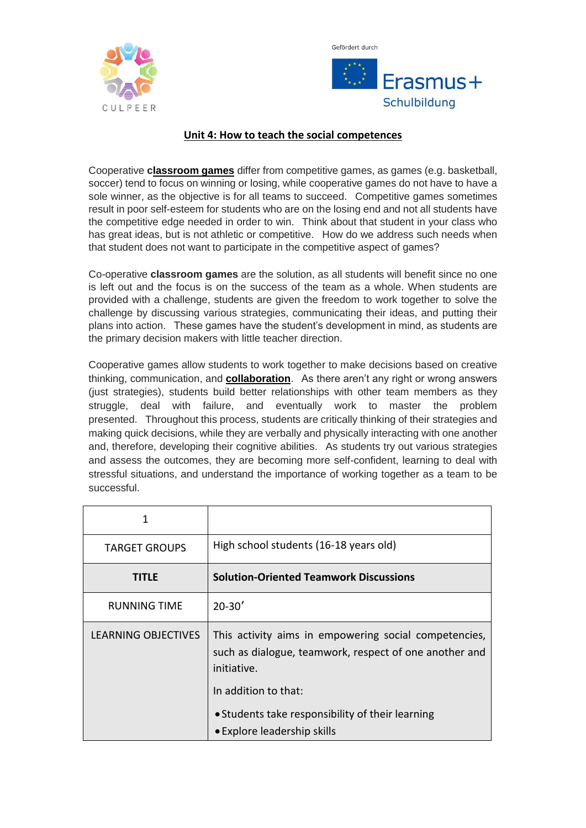



## **Unit 4: How to teach the social competences**

Cooperative **[classroom games](http://www.teachhub.com/engaging-classroom-games-all-grades)** differ from competitive games, as games (e.g. basketball, soccer) tend to focus on winning or losing, while cooperative games do not have to have a sole winner, as the objective is for all teams to succeed. Competitive games sometimes result in poor self-esteem for students who are on the losing end and not all students have the competitive edge needed in order to win. Think about that student in your class who has great ideas, but is not athletic or competitive. How do we address such needs when that student does not want to participate in the competitive aspect of games?

Co-operative **classroom games** are the solution, as all students will benefit since no one is left out and the focus is on the success of the team as a whole. When students are provided with a challenge, students are given the freedom to work together to solve the challenge by discussing various strategies, communicating their ideas, and putting their plans into action. These games have the student's development in mind, as students are the primary decision makers with little teacher direction.

Cooperative games allow students to work together to make decisions based on creative thinking, communication, and **[collaboration](http://www.teachhub.com/online-collaboration-tools-21st-century-learning)**. As there aren't any right or wrong answers (just strategies), students build better relationships with other team members as they struggle, deal with failure, and eventually work to master the problem presented. Throughout this process, students are critically thinking of their strategies and making quick decisions, while they are verbally and physically interacting with one another and, therefore, developing their cognitive abilities. As students try out various strategies and assess the outcomes, they are becoming more self-confident, learning to deal with stressful situations, and understand the importance of working together as a team to be successful.

| 1                          |                                                                                                                                |
|----------------------------|--------------------------------------------------------------------------------------------------------------------------------|
| <b>TARGET GROUPS</b>       | High school students (16-18 years old)                                                                                         |
| TITLE                      | <b>Solution-Oriented Teamwork Discussions</b>                                                                                  |
| <b>RUNNING TIME</b>        | $20 - 30'$                                                                                                                     |
| <b>LEARNING OBJECTIVES</b> | This activity aims in empowering social competencies,<br>such as dialogue, teamwork, respect of one another and<br>initiative. |
|                            | In addition to that:                                                                                                           |
|                            | • Students take responsibility of their learning<br>• Explore leadership skills                                                |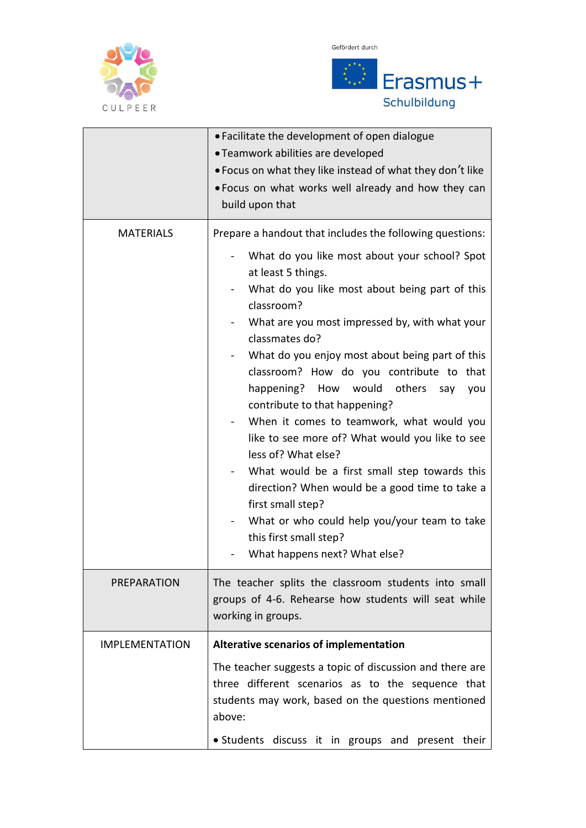





|                       | • Facilitate the development of open dialogue<br>• Teamwork abilities are developed<br>• Focus on what they like instead of what they don't like<br>. Focus on what works well already and how they can<br>build upon that                                                                                                                                                                                                                                                                                                                                                                                                                                                                                                                                                                                                   |
|-----------------------|------------------------------------------------------------------------------------------------------------------------------------------------------------------------------------------------------------------------------------------------------------------------------------------------------------------------------------------------------------------------------------------------------------------------------------------------------------------------------------------------------------------------------------------------------------------------------------------------------------------------------------------------------------------------------------------------------------------------------------------------------------------------------------------------------------------------------|
| <b>MATERIALS</b>      | Prepare a handout that includes the following questions:<br>What do you like most about your school? Spot<br>at least 5 things.<br>What do you like most about being part of this<br>classroom?<br>What are you most impressed by, with what your<br>classmates do?<br>What do you enjoy most about being part of this<br>classroom? How do you contribute to that<br>happening? How would others<br>say<br>you<br>contribute to that happening?<br>When it comes to teamwork, what would you<br>like to see more of? What would you like to see<br>less of? What else?<br>What would be a first small step towards this<br>direction? When would be a good time to take a<br>first small step?<br>What or who could help you/your team to take<br>$\blacksquare$<br>this first small step?<br>What happens next? What else? |
| <b>PREPARATION</b>    | The teacher splits the classroom students into small<br>groups of 4-6. Rehearse how students will seat while<br>working in groups.                                                                                                                                                                                                                                                                                                                                                                                                                                                                                                                                                                                                                                                                                           |
| <b>IMPLEMENTATION</b> | Alterative scenarios of implementation                                                                                                                                                                                                                                                                                                                                                                                                                                                                                                                                                                                                                                                                                                                                                                                       |
|                       | The teacher suggests a topic of discussion and there are<br>three different scenarios as to the sequence that<br>students may work, based on the questions mentioned<br>above:                                                                                                                                                                                                                                                                                                                                                                                                                                                                                                                                                                                                                                               |
|                       | • Students discuss it in groups and present their                                                                                                                                                                                                                                                                                                                                                                                                                                                                                                                                                                                                                                                                                                                                                                            |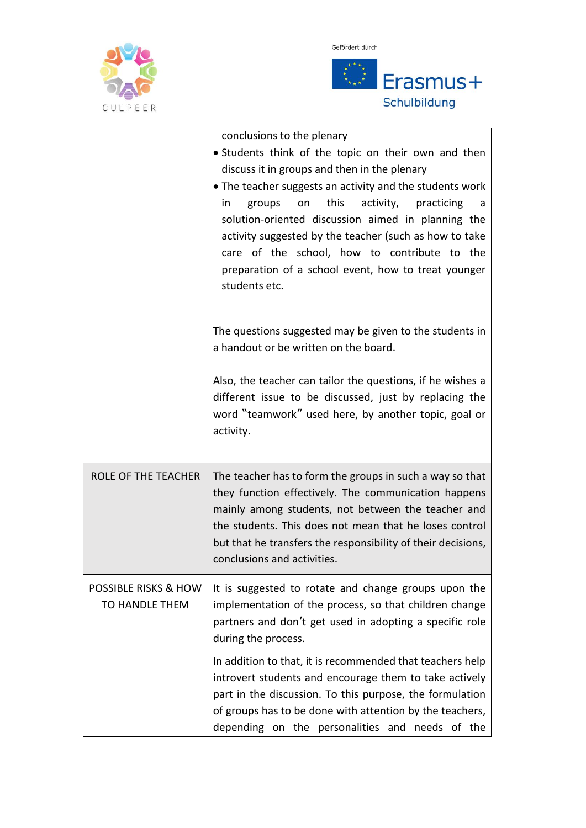





|                                                          | conclusions to the plenary<br>• Students think of the topic on their own and then<br>discuss it in groups and then in the plenary<br>• The teacher suggests an activity and the students work<br>this<br>activity,<br>groups<br>practicing<br>on<br>in.<br>a<br>solution-oriented discussion aimed in planning the<br>activity suggested by the teacher (such as how to take<br>care of the school, how to contribute to the<br>preparation of a school event, how to treat younger<br>students etc.<br>The questions suggested may be given to the students in |
|----------------------------------------------------------|-----------------------------------------------------------------------------------------------------------------------------------------------------------------------------------------------------------------------------------------------------------------------------------------------------------------------------------------------------------------------------------------------------------------------------------------------------------------------------------------------------------------------------------------------------------------|
|                                                          | a handout or be written on the board.<br>Also, the teacher can tailor the questions, if he wishes a<br>different issue to be discussed, just by replacing the<br>word "teamwork" used here, by another topic, goal or<br>activity.                                                                                                                                                                                                                                                                                                                              |
| <b>ROLE OF THE TEACHER</b>                               | The teacher has to form the groups in such a way so that<br>they function effectively. The communication happens<br>mainly among students, not between the teacher and<br>the students. This does not mean that he loses control<br>but that he transfers the responsibility of their decisions,<br>conclusions and activities.                                                                                                                                                                                                                                 |
| <b>POSSIBLE RISKS &amp; HOW</b><br><b>TO HANDLE THEM</b> | It is suggested to rotate and change groups upon the<br>implementation of the process, so that children change<br>partners and don't get used in adopting a specific role<br>during the process.                                                                                                                                                                                                                                                                                                                                                                |
|                                                          | In addition to that, it is recommended that teachers help<br>introvert students and encourage them to take actively<br>part in the discussion. To this purpose, the formulation<br>of groups has to be done with attention by the teachers,<br>depending on the personalities and needs of the                                                                                                                                                                                                                                                                  |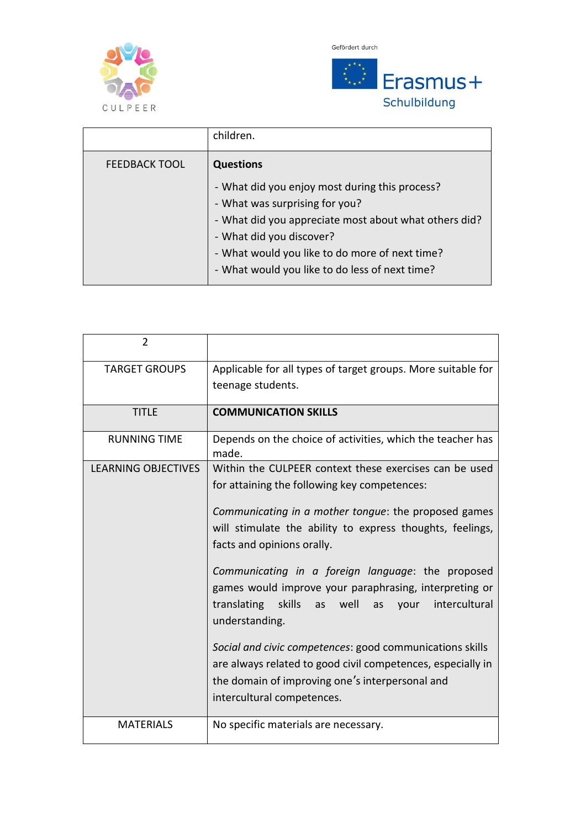





|                      | children.                                                                                                                                                                                                                                                                 |
|----------------------|---------------------------------------------------------------------------------------------------------------------------------------------------------------------------------------------------------------------------------------------------------------------------|
| <b>FEEDBACK TOOL</b> | <b>Questions</b>                                                                                                                                                                                                                                                          |
|                      | - What did you enjoy most during this process?<br>- What was surprising for you?<br>- What did you appreciate most about what others did?<br>- What did you discover?<br>- What would you like to do more of next time?<br>- What would you like to do less of next time? |

| 2                          |                                                                                                                                                                                                          |
|----------------------------|----------------------------------------------------------------------------------------------------------------------------------------------------------------------------------------------------------|
| <b>TARGET GROUPS</b>       | Applicable for all types of target groups. More suitable for                                                                                                                                             |
|                            | teenage students.                                                                                                                                                                                        |
| <b>TITLE</b>               | <b>COMMUNICATION SKILLS</b>                                                                                                                                                                              |
| <b>RUNNING TIME</b>        | Depends on the choice of activities, which the teacher has<br>made.                                                                                                                                      |
| <b>LEARNING OBJECTIVES</b> | Within the CULPEER context these exercises can be used<br>for attaining the following key competences:                                                                                                   |
|                            | Communicating in a mother tongue: the proposed games<br>will stimulate the ability to express thoughts, feelings,<br>facts and opinions orally.                                                          |
|                            | Communicating in a foreign language: the proposed<br>games would improve your paraphrasing, interpreting or<br>translating skills as well<br>intercultural<br>as<br>your<br>understanding.               |
|                            | Social and civic competences: good communications skills<br>are always related to good civil competences, especially in<br>the domain of improving one's interpersonal and<br>intercultural competences. |
| <b>MATERIALS</b>           | No specific materials are necessary.                                                                                                                                                                     |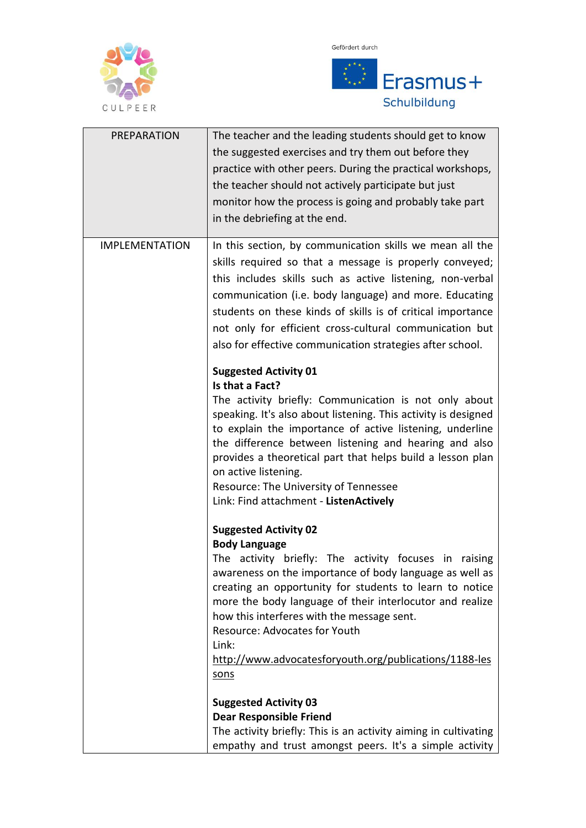





| <b>PREPARATION</b>    | The teacher and the leading students should get to know<br>the suggested exercises and try them out before they<br>practice with other peers. During the practical workshops,<br>the teacher should not actively participate but just<br>monitor how the process is going and probably take part<br>in the debriefing at the end.                                                                                                                                        |
|-----------------------|--------------------------------------------------------------------------------------------------------------------------------------------------------------------------------------------------------------------------------------------------------------------------------------------------------------------------------------------------------------------------------------------------------------------------------------------------------------------------|
| <b>IMPLEMENTATION</b> | In this section, by communication skills we mean all the<br>skills required so that a message is properly conveyed;<br>this includes skills such as active listening, non-verbal<br>communication (i.e. body language) and more. Educating<br>students on these kinds of skills is of critical importance<br>not only for efficient cross-cultural communication but<br>also for effective communication strategies after school.                                        |
|                       | <b>Suggested Activity 01</b><br>Is that a Fact?<br>The activity briefly: Communication is not only about<br>speaking. It's also about listening. This activity is designed<br>to explain the importance of active listening, underline<br>the difference between listening and hearing and also<br>provides a theoretical part that helps build a lesson plan<br>on active listening.<br>Resource: The University of Tennessee<br>Link: Find attachment - ListenActively |
|                       | <b>Suggested Activity 02</b><br><b>Body Language</b><br>The activity briefly: The activity focuses in raising<br>awareness on the importance of body language as well as<br>creating an opportunity for students to learn to notice<br>more the body language of their interlocutor and realize<br>how this interferes with the message sent.<br>Resource: Advocates for Youth<br>Link:<br>http://www.advocatesforyouth.org/publications/1188-les<br>sons                |
|                       | <b>Suggested Activity 03</b><br><b>Dear Responsible Friend</b><br>The activity briefly: This is an activity aiming in cultivating<br>empathy and trust amongst peers. It's a simple activity                                                                                                                                                                                                                                                                             |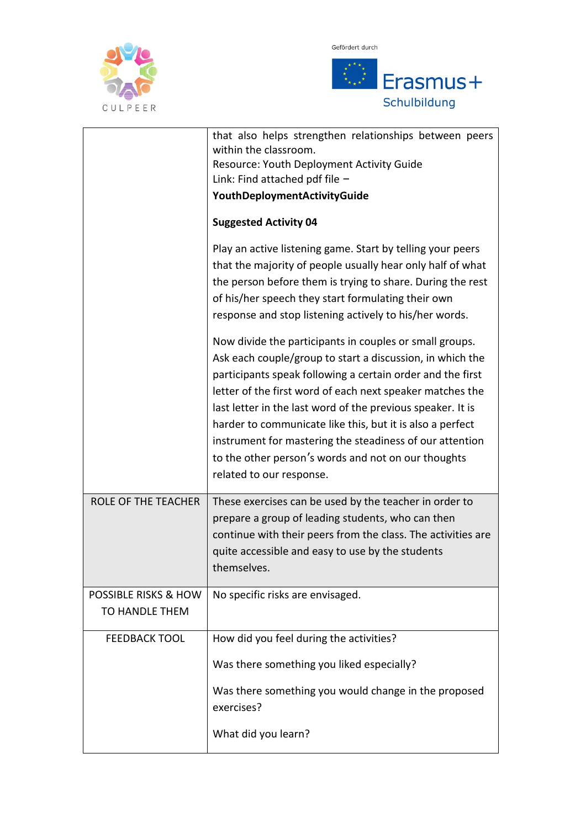

Gefördert durch



|                                 | that also helps strengthen relationships between peers                                                                                                                                                                                                                                                                                                                                                                                                                                                                     |
|---------------------------------|----------------------------------------------------------------------------------------------------------------------------------------------------------------------------------------------------------------------------------------------------------------------------------------------------------------------------------------------------------------------------------------------------------------------------------------------------------------------------------------------------------------------------|
|                                 | within the classroom.                                                                                                                                                                                                                                                                                                                                                                                                                                                                                                      |
|                                 | Resource: Youth Deployment Activity Guide                                                                                                                                                                                                                                                                                                                                                                                                                                                                                  |
|                                 | Link: Find attached pdf file $-$                                                                                                                                                                                                                                                                                                                                                                                                                                                                                           |
|                                 | YouthDeploymentActivityGuide                                                                                                                                                                                                                                                                                                                                                                                                                                                                                               |
|                                 | <b>Suggested Activity 04</b>                                                                                                                                                                                                                                                                                                                                                                                                                                                                                               |
|                                 | Play an active listening game. Start by telling your peers                                                                                                                                                                                                                                                                                                                                                                                                                                                                 |
|                                 | that the majority of people usually hear only half of what                                                                                                                                                                                                                                                                                                                                                                                                                                                                 |
|                                 | the person before them is trying to share. During the rest                                                                                                                                                                                                                                                                                                                                                                                                                                                                 |
|                                 | of his/her speech they start formulating their own                                                                                                                                                                                                                                                                                                                                                                                                                                                                         |
|                                 | response and stop listening actively to his/her words.                                                                                                                                                                                                                                                                                                                                                                                                                                                                     |
|                                 | Now divide the participants in couples or small groups.<br>Ask each couple/group to start a discussion, in which the<br>participants speak following a certain order and the first<br>letter of the first word of each next speaker matches the<br>last letter in the last word of the previous speaker. It is<br>harder to communicate like this, but it is also a perfect<br>instrument for mastering the steadiness of our attention<br>to the other person's words and not on our thoughts<br>related to our response. |
| ROLE OF THE TEACHER             | These exercises can be used by the teacher in order to<br>prepare a group of leading students, who can then<br>continue with their peers from the class. The activities are<br>quite accessible and easy to use by the students<br>themselves.                                                                                                                                                                                                                                                                             |
| <b>POSSIBLE RISKS &amp; HOW</b> | No specific risks are envisaged.                                                                                                                                                                                                                                                                                                                                                                                                                                                                                           |
| TO HANDLE THEM                  |                                                                                                                                                                                                                                                                                                                                                                                                                                                                                                                            |
|                                 |                                                                                                                                                                                                                                                                                                                                                                                                                                                                                                                            |
| <b>FEEDBACK TOOL</b>            | How did you feel during the activities?                                                                                                                                                                                                                                                                                                                                                                                                                                                                                    |
|                                 | Was there something you liked especially?                                                                                                                                                                                                                                                                                                                                                                                                                                                                                  |
|                                 | Was there something you would change in the proposed<br>exercises?                                                                                                                                                                                                                                                                                                                                                                                                                                                         |
|                                 |                                                                                                                                                                                                                                                                                                                                                                                                                                                                                                                            |
|                                 | What did you learn?                                                                                                                                                                                                                                                                                                                                                                                                                                                                                                        |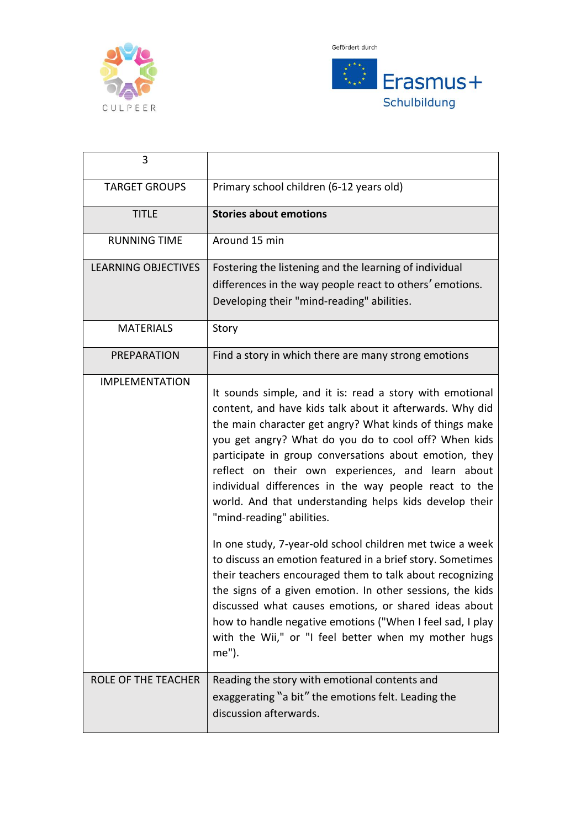



| 3                          |                                                                                                                                                                                                                                                                                                                                                                                                                                                                                                                                                                                                                                                                                                                                                                                                                                                                                                                                                   |
|----------------------------|---------------------------------------------------------------------------------------------------------------------------------------------------------------------------------------------------------------------------------------------------------------------------------------------------------------------------------------------------------------------------------------------------------------------------------------------------------------------------------------------------------------------------------------------------------------------------------------------------------------------------------------------------------------------------------------------------------------------------------------------------------------------------------------------------------------------------------------------------------------------------------------------------------------------------------------------------|
| <b>TARGET GROUPS</b>       | Primary school children (6-12 years old)                                                                                                                                                                                                                                                                                                                                                                                                                                                                                                                                                                                                                                                                                                                                                                                                                                                                                                          |
| <b>TITLE</b>               | <b>Stories about emotions</b>                                                                                                                                                                                                                                                                                                                                                                                                                                                                                                                                                                                                                                                                                                                                                                                                                                                                                                                     |
| <b>RUNNING TIME</b>        | Around 15 min                                                                                                                                                                                                                                                                                                                                                                                                                                                                                                                                                                                                                                                                                                                                                                                                                                                                                                                                     |
| <b>LEARNING OBJECTIVES</b> | Fostering the listening and the learning of individual<br>differences in the way people react to others' emotions.<br>Developing their "mind-reading" abilities.                                                                                                                                                                                                                                                                                                                                                                                                                                                                                                                                                                                                                                                                                                                                                                                  |
| <b>MATERIALS</b>           | Story                                                                                                                                                                                                                                                                                                                                                                                                                                                                                                                                                                                                                                                                                                                                                                                                                                                                                                                                             |
| <b>PREPARATION</b>         | Find a story in which there are many strong emotions                                                                                                                                                                                                                                                                                                                                                                                                                                                                                                                                                                                                                                                                                                                                                                                                                                                                                              |
| <b>IMPLEMENTATION</b>      | It sounds simple, and it is: read a story with emotional<br>content, and have kids talk about it afterwards. Why did<br>the main character get angry? What kinds of things make<br>you get angry? What do you do to cool off? When kids<br>participate in group conversations about emotion, they<br>reflect on their own experiences, and learn about<br>individual differences in the way people react to the<br>world. And that understanding helps kids develop their<br>"mind-reading" abilities.<br>In one study, 7-year-old school children met twice a week<br>to discuss an emotion featured in a brief story. Sometimes<br>their teachers encouraged them to talk about recognizing<br>the signs of a given emotion. In other sessions, the kids<br>discussed what causes emotions, or shared ideas about<br>how to handle negative emotions ("When I feel sad, I play<br>with the Wii," or "I feel better when my mother hugs<br>me"). |
| ROLE OF THE TEACHER        | Reading the story with emotional contents and<br>exaggerating "a bit" the emotions felt. Leading the<br>discussion afterwards.                                                                                                                                                                                                                                                                                                                                                                                                                                                                                                                                                                                                                                                                                                                                                                                                                    |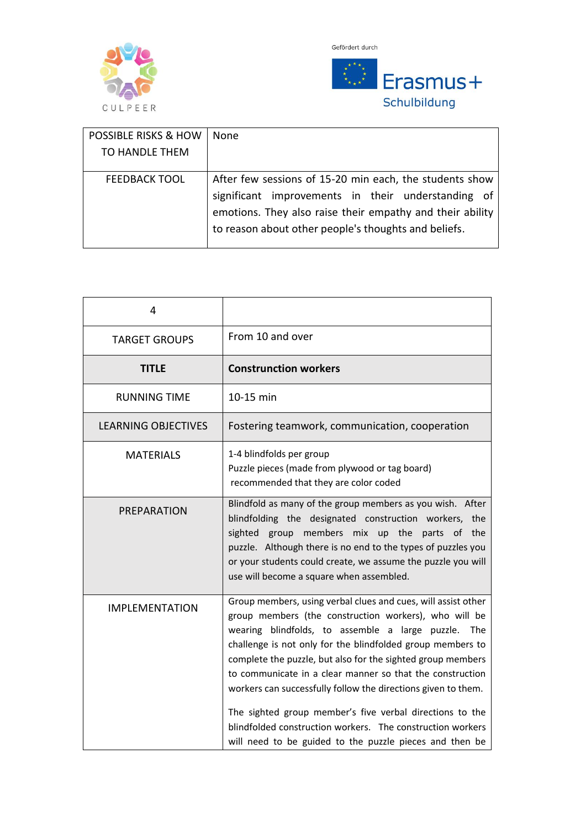



| <b>POSSIBLE RISKS &amp; HOW</b> | None                                                      |
|---------------------------------|-----------------------------------------------------------|
| TO HANDLE THEM                  |                                                           |
|                                 |                                                           |
| <b>FEEDBACK TOOL</b>            | After few sessions of 15-20 min each, the students show   |
|                                 | significant improvements in their understanding of        |
|                                 | emotions. They also raise their empathy and their ability |
|                                 | to reason about other people's thoughts and beliefs.      |
|                                 |                                                           |

| 4                          |                                                                                                                                                                                                                                                                                                                                                                                                                                                                                                                                                                                                                               |
|----------------------------|-------------------------------------------------------------------------------------------------------------------------------------------------------------------------------------------------------------------------------------------------------------------------------------------------------------------------------------------------------------------------------------------------------------------------------------------------------------------------------------------------------------------------------------------------------------------------------------------------------------------------------|
| <b>TARGET GROUPS</b>       | From 10 and over                                                                                                                                                                                                                                                                                                                                                                                                                                                                                                                                                                                                              |
| TITLE                      | <b>Construnction workers</b>                                                                                                                                                                                                                                                                                                                                                                                                                                                                                                                                                                                                  |
| <b>RUNNING TIME</b>        | 10-15 min                                                                                                                                                                                                                                                                                                                                                                                                                                                                                                                                                                                                                     |
| <b>LEARNING OBJECTIVES</b> | Fostering teamwork, communication, cooperation                                                                                                                                                                                                                                                                                                                                                                                                                                                                                                                                                                                |
| <b>MATERIALS</b>           | 1-4 blindfolds per group<br>Puzzle pieces (made from plywood or tag board)<br>recommended that they are color coded                                                                                                                                                                                                                                                                                                                                                                                                                                                                                                           |
| PREPARATION                | Blindfold as many of the group members as you wish. After<br>blindfolding the designated construction workers, the<br>sighted group<br>members mix up the parts of the<br>puzzle. Although there is no end to the types of puzzles you<br>or your students could create, we assume the puzzle you will<br>use will become a square when assembled.                                                                                                                                                                                                                                                                            |
| <b>IMPLEMENTATION</b>      | Group members, using verbal clues and cues, will assist other<br>group members (the construction workers), who will be<br>wearing blindfolds, to assemble a large puzzle. The<br>challenge is not only for the blindfolded group members to<br>complete the puzzle, but also for the sighted group members<br>to communicate in a clear manner so that the construction<br>workers can successfully follow the directions given to them.<br>The sighted group member's five verbal directions to the<br>blindfolded construction workers. The construction workers<br>will need to be guided to the puzzle pieces and then be |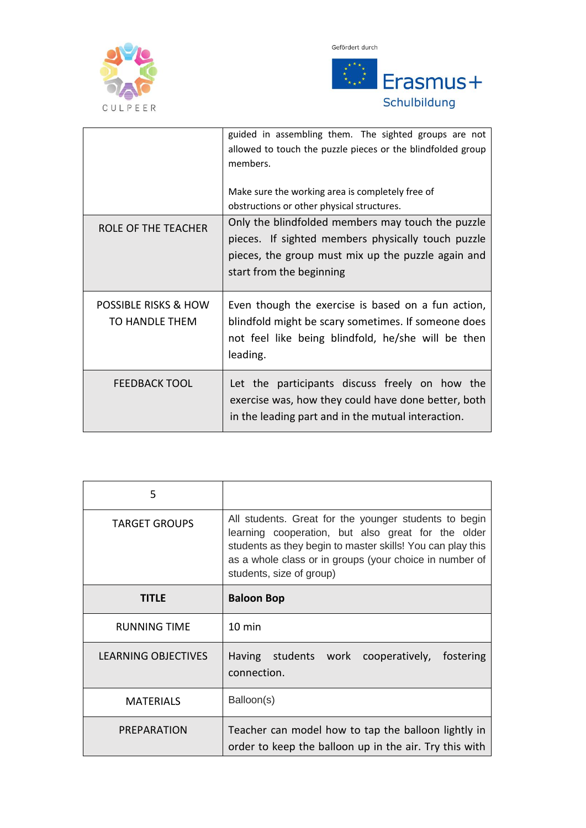

Gefördert durch



|                                        | guided in assembling them. The sighted groups are not<br>allowed to touch the puzzle pieces or the blindfolded group<br>members.<br>Make sure the working area is completely free of<br>obstructions or other physical structures. |
|----------------------------------------|------------------------------------------------------------------------------------------------------------------------------------------------------------------------------------------------------------------------------------|
| ROLE OF THE TEACHER                    | Only the blindfolded members may touch the puzzle<br>pieces. If sighted members physically touch puzzle<br>pieces, the group must mix up the puzzle again and<br>start from the beginning                                          |
| POSSIBLE RISKS & HOW<br>TO HANDLE THEM | Even though the exercise is based on a fun action,<br>blindfold might be scary sometimes. If someone does<br>not feel like being blindfold, he/she will be then<br>leading.                                                        |
| <b>FEEDBACK TOOL</b>                   | Let the participants discuss freely on how the<br>exercise was, how they could have done better, both<br>in the leading part and in the mutual interaction.                                                                        |

| 5                    |                                                                                                                                                                                                                                                                  |
|----------------------|------------------------------------------------------------------------------------------------------------------------------------------------------------------------------------------------------------------------------------------------------------------|
| <b>TARGET GROUPS</b> | All students. Great for the younger students to begin<br>learning cooperation, but also great for the older<br>students as they begin to master skills! You can play this<br>as a whole class or in groups (your choice in number of<br>students, size of group) |
| <b>TITLF</b>         | <b>Baloon Bop</b>                                                                                                                                                                                                                                                |
| <b>RUNNING TIME</b>  | $10 \text{ min}$                                                                                                                                                                                                                                                 |
| LEARNING OBJECTIVES  | Having students work cooperatively,<br>fostering<br>connection.                                                                                                                                                                                                  |
| <b>MATERIALS</b>     | Balloon(s)                                                                                                                                                                                                                                                       |
| PREPARATION          | Teacher can model how to tap the balloon lightly in<br>order to keep the balloon up in the air. Try this with                                                                                                                                                    |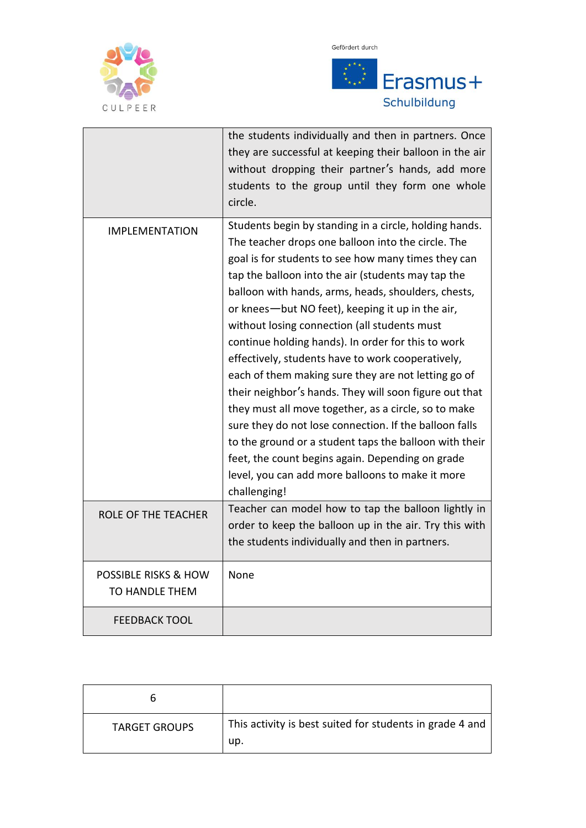





|                                                   | the students individually and then in partners. Once<br>they are successful at keeping their balloon in the air<br>without dropping their partner's hands, add more<br>students to the group until they form one whole<br>circle.                                                                                                                                                                                                                                                                                                                                                                                                                                                                                                                                                                                                                                                                                    |
|---------------------------------------------------|----------------------------------------------------------------------------------------------------------------------------------------------------------------------------------------------------------------------------------------------------------------------------------------------------------------------------------------------------------------------------------------------------------------------------------------------------------------------------------------------------------------------------------------------------------------------------------------------------------------------------------------------------------------------------------------------------------------------------------------------------------------------------------------------------------------------------------------------------------------------------------------------------------------------|
| <b>IMPLEMENTATION</b>                             | Students begin by standing in a circle, holding hands.<br>The teacher drops one balloon into the circle. The<br>goal is for students to see how many times they can<br>tap the balloon into the air (students may tap the<br>balloon with hands, arms, heads, shoulders, chests,<br>or knees—but NO feet), keeping it up in the air,<br>without losing connection (all students must<br>continue holding hands). In order for this to work<br>effectively, students have to work cooperatively,<br>each of them making sure they are not letting go of<br>their neighbor's hands. They will soon figure out that<br>they must all move together, as a circle, so to make<br>sure they do not lose connection. If the balloon falls<br>to the ground or a student taps the balloon with their<br>feet, the count begins again. Depending on grade<br>level, you can add more balloons to make it more<br>challenging! |
| <b>ROLE OF THE TEACHER</b>                        | Teacher can model how to tap the balloon lightly in<br>order to keep the balloon up in the air. Try this with<br>the students individually and then in partners.                                                                                                                                                                                                                                                                                                                                                                                                                                                                                                                                                                                                                                                                                                                                                     |
| <b>POSSIBLE RISKS &amp; HOW</b><br>TO HANDLE THEM | None                                                                                                                                                                                                                                                                                                                                                                                                                                                                                                                                                                                                                                                                                                                                                                                                                                                                                                                 |
| FEEDBACK TOOL                                     |                                                                                                                                                                                                                                                                                                                                                                                                                                                                                                                                                                                                                                                                                                                                                                                                                                                                                                                      |

| <b>TARGET GROUPS</b> | This activity is best suited for students in grade 4 and<br>up. |
|----------------------|-----------------------------------------------------------------|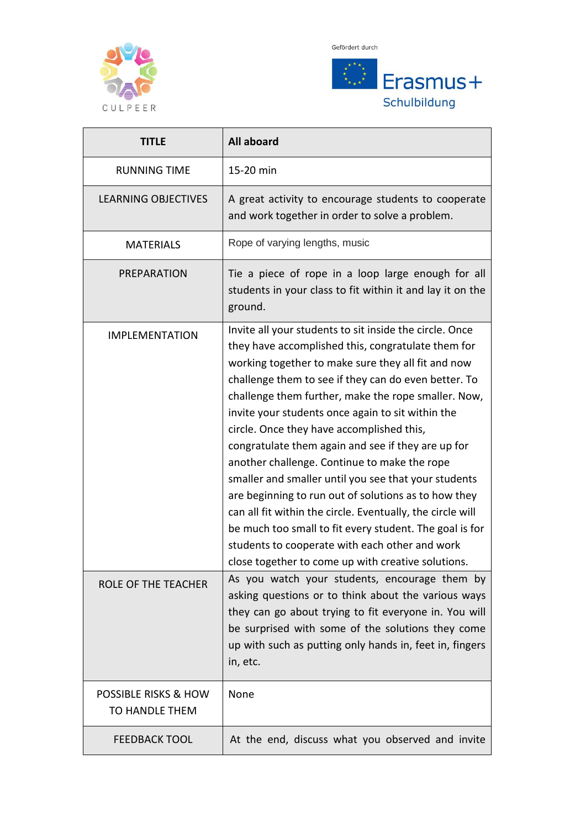





| <b>TITLE</b>                                      | <b>All aboard</b>                                                                                                                                                                                                                                                                                                                                                                                                                                                                                                                                                                                                                                                                                                                                                                                                                           |
|---------------------------------------------------|---------------------------------------------------------------------------------------------------------------------------------------------------------------------------------------------------------------------------------------------------------------------------------------------------------------------------------------------------------------------------------------------------------------------------------------------------------------------------------------------------------------------------------------------------------------------------------------------------------------------------------------------------------------------------------------------------------------------------------------------------------------------------------------------------------------------------------------------|
| <b>RUNNING TIME</b>                               | 15-20 min                                                                                                                                                                                                                                                                                                                                                                                                                                                                                                                                                                                                                                                                                                                                                                                                                                   |
| <b>LEARNING OBJECTIVES</b>                        | A great activity to encourage students to cooperate<br>and work together in order to solve a problem.                                                                                                                                                                                                                                                                                                                                                                                                                                                                                                                                                                                                                                                                                                                                       |
| <b>MATERIALS</b>                                  | Rope of varying lengths, music                                                                                                                                                                                                                                                                                                                                                                                                                                                                                                                                                                                                                                                                                                                                                                                                              |
| PREPARATION                                       | Tie a piece of rope in a loop large enough for all<br>students in your class to fit within it and lay it on the<br>ground.                                                                                                                                                                                                                                                                                                                                                                                                                                                                                                                                                                                                                                                                                                                  |
| <b>IMPLEMENTATION</b>                             | Invite all your students to sit inside the circle. Once<br>they have accomplished this, congratulate them for<br>working together to make sure they all fit and now<br>challenge them to see if they can do even better. To<br>challenge them further, make the rope smaller. Now,<br>invite your students once again to sit within the<br>circle. Once they have accomplished this,<br>congratulate them again and see if they are up for<br>another challenge. Continue to make the rope<br>smaller and smaller until you see that your students<br>are beginning to run out of solutions as to how they<br>can all fit within the circle. Eventually, the circle will<br>be much too small to fit every student. The goal is for<br>students to cooperate with each other and work<br>close together to come up with creative solutions. |
| ROLE OF THE TEACHER                               | As you watch your students, encourage them by<br>asking questions or to think about the various ways<br>they can go about trying to fit everyone in. You will<br>be surprised with some of the solutions they come<br>up with such as putting only hands in, feet in, fingers<br>in, etc.                                                                                                                                                                                                                                                                                                                                                                                                                                                                                                                                                   |
| <b>POSSIBLE RISKS &amp; HOW</b><br>TO HANDLE THEM | None                                                                                                                                                                                                                                                                                                                                                                                                                                                                                                                                                                                                                                                                                                                                                                                                                                        |
| <b>FEEDBACK TOOL</b>                              | At the end, discuss what you observed and invite                                                                                                                                                                                                                                                                                                                                                                                                                                                                                                                                                                                                                                                                                                                                                                                            |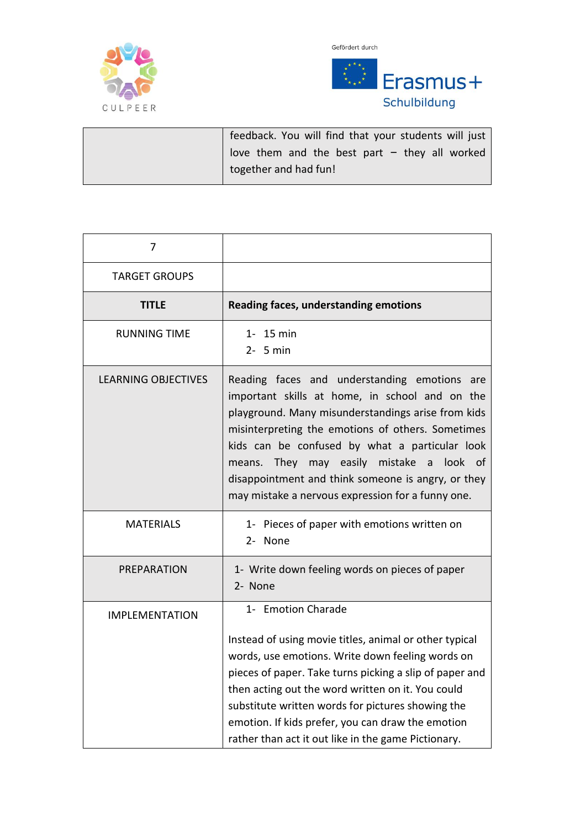



| feedback. You will find that your students will just |
|------------------------------------------------------|
| love them and the best part $-$ they all worked      |
| together and had fun!                                |

| 7                          |                                                                                                                                                                                                                                                                                                                                                                                                                       |
|----------------------------|-----------------------------------------------------------------------------------------------------------------------------------------------------------------------------------------------------------------------------------------------------------------------------------------------------------------------------------------------------------------------------------------------------------------------|
| <b>TARGET GROUPS</b>       |                                                                                                                                                                                                                                                                                                                                                                                                                       |
| <b>TITLE</b>               | Reading faces, understanding emotions                                                                                                                                                                                                                                                                                                                                                                                 |
| <b>RUNNING TIME</b>        | 1- 15 min<br>$2 - 5$ min                                                                                                                                                                                                                                                                                                                                                                                              |
| <b>LEARNING OBJECTIVES</b> | Reading faces and understanding emotions are<br>important skills at home, in school and on the<br>playground. Many misunderstandings arise from kids<br>misinterpreting the emotions of others. Sometimes<br>kids can be confused by what a particular look<br>means. They<br>may easily mistake a look of<br>disappointment and think someone is angry, or they<br>may mistake a nervous expression for a funny one. |
| <b>MATERIALS</b>           | 1- Pieces of paper with emotions written on<br>2- None                                                                                                                                                                                                                                                                                                                                                                |
| PREPARATION                | 1- Write down feeling words on pieces of paper<br>2- None                                                                                                                                                                                                                                                                                                                                                             |
| <b>IMPLEMENTATION</b>      | 1- Emotion Charade<br>Instead of using movie titles, animal or other typical<br>words, use emotions. Write down feeling words on<br>pieces of paper. Take turns picking a slip of paper and<br>then acting out the word written on it. You could<br>substitute written words for pictures showing the<br>emotion. If kids prefer, you can draw the emotion<br>rather than act it out like in the game Pictionary.     |